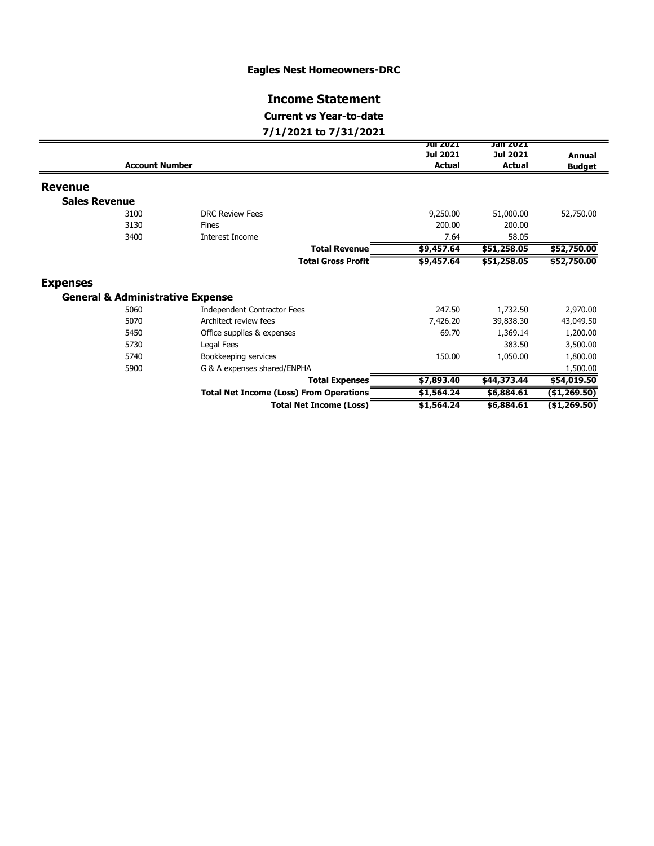### Eagles Nest Homeowners-DRC

# Income Statement

# Current vs Year-to-date

### 7/1/2021 to 7/31/2021

|                      |                                             |                                                | JUI 2021        | Jan 2021      |                |
|----------------------|---------------------------------------------|------------------------------------------------|-----------------|---------------|----------------|
|                      |                                             |                                                | <b>Jul 2021</b> | Jul 2021      | <b>Annual</b>  |
|                      | <b>Account Number</b>                       |                                                |                 | <b>Actual</b> | <b>Budget</b>  |
| <b>Revenue</b>       |                                             |                                                |                 |               |                |
| <b>Sales Revenue</b> |                                             |                                                |                 |               |                |
|                      | 3100                                        | <b>DRC Review Fees</b>                         | 9,250.00        | 51,000.00     | 52,750.00      |
|                      | 3130                                        | Fines                                          | 200.00          | 200.00        |                |
|                      | 3400                                        | Interest Income                                | 7.64            | 58.05         |                |
|                      |                                             | <b>Total Revenue</b>                           | \$9,457.64      | \$51,258.05   | \$52,750.00    |
|                      |                                             | <b>Total Gross Profit</b>                      | \$9,457.64      | \$51,258.05   | \$52,750.00    |
| <b>Expenses</b>      |                                             |                                                |                 |               |                |
|                      | <b>General &amp; Administrative Expense</b> |                                                |                 |               |                |
|                      | 5060                                        | <b>Independent Contractor Fees</b>             | 247.50          | 1,732.50      | 2,970.00       |
|                      | 5070                                        | Architect review fees                          | 7,426.20        | 39,838.30     | 43,049.50      |
|                      | 5450                                        | Office supplies & expenses                     | 69.70           | 1,369.14      | 1,200.00       |
|                      | 5730                                        | Legal Fees                                     |                 | 383.50        | 3,500.00       |
|                      | 5740                                        | Bookkeeping services                           | 150.00          | 1,050.00      | 1,800.00       |
|                      | 5900                                        | G & A expenses shared/ENPHA                    |                 |               | 1,500.00       |
|                      |                                             | <b>Total Expenses</b>                          | \$7,893.40      | \$44,373.44   | \$54,019.50    |
|                      |                                             | <b>Total Net Income (Loss) From Operations</b> | \$1,564.24      | \$6,884.61    | (\$1,269.50)   |
|                      |                                             | <b>Total Net Income (Loss)</b>                 | \$1,564.24      | \$6,884.61    | ( \$1, 269.50) |